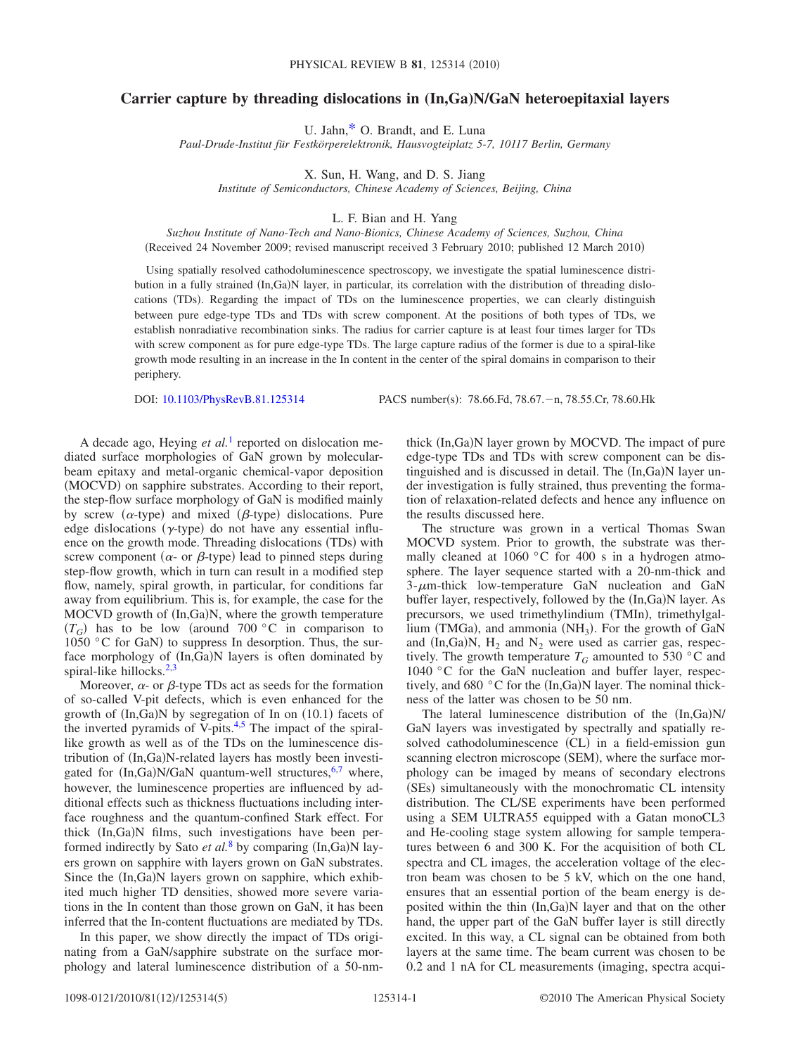## **Carrier capture by threading dislocations in (In,Ga)N/GaN heteroepitaxial layers**

U. Jahn[,\\*](#page-4-0) O. Brandt, and E. Luna

*Paul-Drude-Institut für Festkörperelektronik, Hausvogteiplatz 5-7, 10117 Berlin, Germany*

X. Sun, H. Wang, and D. S. Jiang

*Institute of Semiconductors, Chinese Academy of Sciences, Beijing, China*

L. F. Bian and H. Yang

*Suzhou Institute of Nano-Tech and Nano-Bionics, Chinese Academy of Sciences, Suzhou, China* (Received 24 November 2009; revised manuscript received 3 February 2010; published 12 March 2010)

Using spatially resolved cathodoluminescence spectroscopy, we investigate the spatial luminescence distribution in a fully strained (In,Ga)N layer, in particular, its correlation with the distribution of threading dislocations (TDs). Regarding the impact of TDs on the luminescence properties, we can clearly distinguish between pure edge-type TDs and TDs with screw component. At the positions of both types of TDs, we establish nonradiative recombination sinks. The radius for carrier capture is at least four times larger for TDs with screw component as for pure edge-type TDs. The large capture radius of the former is due to a spiral-like growth mode resulting in an increase in the In content in the center of the spiral domains in comparison to their periphery.

DOI: [10.1103/PhysRevB.81.125314](http://dx.doi.org/10.1103/PhysRevB.81.125314)

PACS number(s): 78.66.Fd, 78.67. - n, 78.55.Cr, 78.60.Hk

A decade ago, Heying *et al.*[1](#page-4-1) reported on dislocation mediated surface morphologies of GaN grown by molecularbeam epitaxy and metal-organic chemical-vapor deposition (MOCVD) on sapphire substrates. According to their report, the step-flow surface morphology of GaN is modified mainly by screw ( $\alpha$ -type) and mixed ( $\beta$ -type) dislocations. Pure edge dislocations ( $\gamma$ -type) do not have any essential influence on the growth mode. Threading dislocations (TDs) with screw component ( $\alpha$ - or  $\beta$ -type) lead to pinned steps during step-flow growth, which in turn can result in a modified step flow, namely, spiral growth, in particular, for conditions far away from equilibrium. This is, for example, the case for the MOCVD growth of (In,Ga)N, where the growth temperature  $(T_G)$  has to be low (around 700 °C in comparison to 1050 °C for GaN) to suppress In desorption. Thus, the surface morphology of (In,Ga)N layers is often dominated by spiral-like hillocks. $2,3$  $2,3$ 

Moreover,  $\alpha$ - or  $\beta$ -type TDs act as seeds for the formation of so-called V-pit defects, which is even enhanced for the growth of  $(In,Ga)N$  by segregation of In on  $(10.1)$  facets of the inverted pyramids of V-pits.<sup>4[,5](#page-4-5)</sup> The impact of the spirallike growth as well as of the TDs on the luminescence distribution of (In,Ga)N-related layers has mostly been investigated for  $(In,Ga)N/GaN$  quantum-well structures,<sup>6[,7](#page-4-7)</sup> where, however, the luminescence properties are influenced by additional effects such as thickness fluctuations including interface roughness and the quantum-confined Stark effect. For thick (In,Ga)N films, such investigations have been performed indirectly by Sato *et al.*<sup>[8](#page-4-8)</sup> by comparing (In,Ga)N layers grown on sapphire with layers grown on GaN substrates. Since the (In,Ga)N layers grown on sapphire, which exhibited much higher TD densities, showed more severe variations in the In content than those grown on GaN, it has been inferred that the In-content fluctuations are mediated by TDs.

In this paper, we show directly the impact of TDs originating from a GaN/sapphire substrate on the surface morphology and lateral luminescence distribution of a 50-nm-

thick (In,Ga)N layer grown by MOCVD. The impact of pure edge-type TDs and TDs with screw component can be distinguished and is discussed in detail. The (In,Ga)N layer under investigation is fully strained, thus preventing the formation of relaxation-related defects and hence any influence on the results discussed here.

The structure was grown in a vertical Thomas Swan MOCVD system. Prior to growth, the substrate was thermally cleaned at 1060 °C for 400 s in a hydrogen atmosphere. The layer sequence started with a 20-nm-thick and  $3-\mu$ m-thick low-temperature GaN nucleation and GaN buffer layer, respectively, followed by the (In,Ga)N layer. As precursors, we used trimethylindium (TMIn), trimethylgal- $\lim_{\text{num}}$  (TMGa), and ammonia (NH<sub>3</sub>). For the growth of GaN and  $(In,Ga)N$ ,  $H_2$  and  $N_2$  were used as carrier gas, respectively. The growth temperature  $T_G$  amounted to 530 °C and 1040 °C for the GaN nucleation and buffer layer, respectively, and 680  $\degree$ C for the (In,Ga)N layer. The nominal thickness of the latter was chosen to be 50 nm.

The lateral luminescence distribution of the (In,Ga)N/ GaN layers was investigated by spectrally and spatially resolved cathodoluminescence (CL) in a field-emission gun scanning electron microscope (SEM), where the surface morphology can be imaged by means of secondary electrons (SEs) simultaneously with the monochromatic CL intensity distribution. The CL/SE experiments have been performed using a SEM ULTRA55 equipped with a Gatan monoCL3 and He-cooling stage system allowing for sample temperatures between 6 and 300 K. For the acquisition of both CL spectra and CL images, the acceleration voltage of the electron beam was chosen to be 5 kV, which on the one hand, ensures that an essential portion of the beam energy is deposited within the thin (In,Ga)N layer and that on the other hand, the upper part of the GaN buffer layer is still directly excited. In this way, a CL signal can be obtained from both layers at the same time. The beam current was chosen to be 0.2 and 1 nA for CL measurements (imaging, spectra acqui-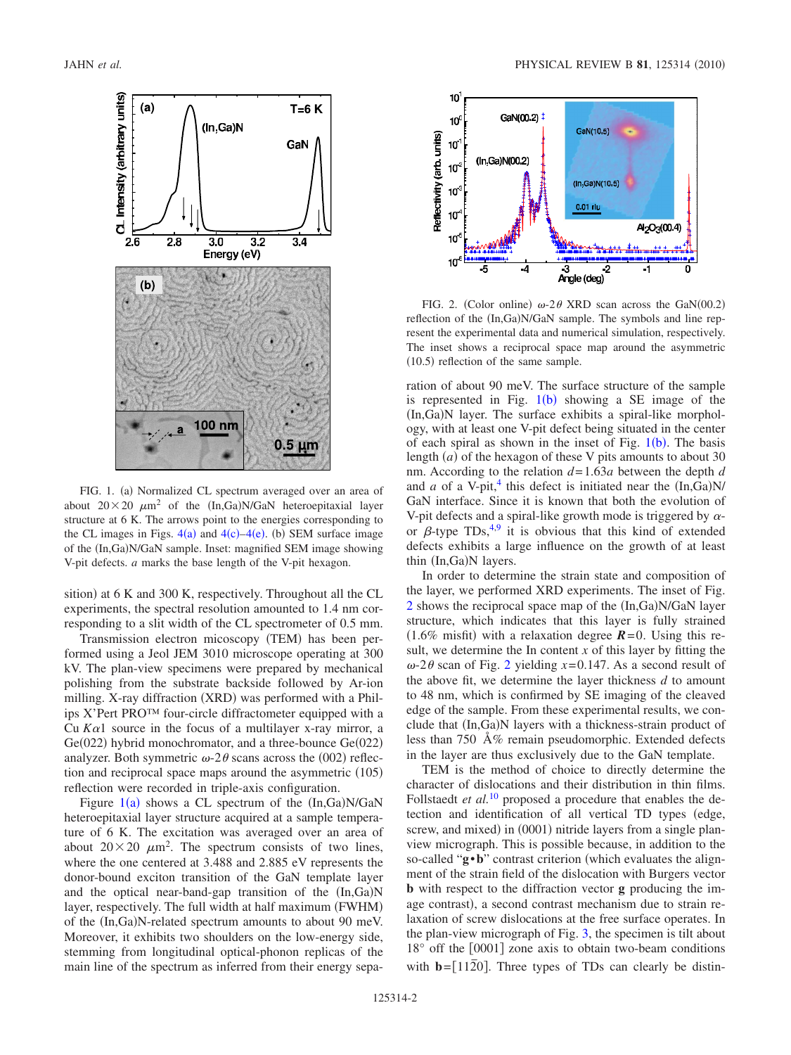<span id="page-1-0"></span>

FIG. 1. (a) Normalized CL spectrum averaged over an area of about  $20 \times 20 \mu m^2$  of the  $(In,Ga)N/GaN$  heteroepitaxial layer structure at 6 K. The arrows point to the energies corresponding to the CL images in Figs.  $4(a)$  $4(a)$  and  $4(c) - 4(e)$ . (b) SEM surface image of the (In,Ga)N/GaN sample. Inset: magnified SEM image showing V-pit defects. *a* marks the base length of the V-pit hexagon.

sition) at 6 K and 300 K, respectively. Throughout all the CL experiments, the spectral resolution amounted to 1.4 nm corresponding to a slit width of the CL spectrometer of 0.5 mm.

Transmission electron micoscopy (TEM) has been performed using a Jeol JEM 3010 microscope operating at 300 kV. The plan-view specimens were prepared by mechanical polishing from the substrate backside followed by Ar-ion milling. X-ray diffraction (XRD) was performed with a Philips X'Pert PRO™ four-circle diffractometer equipped with a Cu  $Ka1$  source in the focus of a multilayer x-ray mirror, a Ge(022) hybrid monochromator, and a three-bounce Ge(022) analyzer. Both symmetric  $\omega$ -2 $\theta$  scans across the (002) reflection and reciprocal space maps around the asymmetric (105) reflection were recorded in triple-axis configuration.

Figure  $1(a)$  $1(a)$  shows a CL spectrum of the  $(In,Ga)N/GaN$ heteroepitaxial layer structure acquired at a sample temperature of 6 K. The excitation was averaged over an area of about  $20 \times 20 \mu m^2$ . The spectrum consists of two lines, where the one centered at 3.488 and 2.885 eV represents the donor-bound exciton transition of the GaN template layer and the optical near-band-gap transition of the (In,Ga)N layer, respectively. The full width at half maximum (FWHM) of the (In,Ga)N-related spectrum amounts to about 90 meV. Moreover, it exhibits two shoulders on the low-energy side, stemming from longitudinal optical-phonon replicas of the main line of the spectrum as inferred from their energy sepa-

<span id="page-1-1"></span>

FIG. 2. (Color online)  $\omega$ -2 $\theta$  XRD scan across the GaN(00.2) reflection of the  $(In,Ga)N/GaN$  sample. The symbols and line represent the experimental data and numerical simulation, respectively. The inset shows a reciprocal space map around the asymmetric  $(10.5)$  reflection of the same sample.

ration of about 90 meV. The surface structure of the sample is represented in Fig.  $1(b)$  $1(b)$  showing a SE image of the (In,Ga)N layer. The surface exhibits a spiral-like morphology, with at least one V-pit defect being situated in the center of each spiral as shown in the inset of Fig.  $1(b)$  $1(b)$ . The basis length  $(a)$  of the hexagon of these V pits amounts to about 30 nm. According to the relation *d*= 1.63*a* between the depth *d* and *a* of a V-pit,<sup>4</sup> this defect is initiated near the  $(In,Ga)N/$ GaN interface. Since it is known that both the evolution of V-pit defects and a spiral-like growth mode is triggered by  $\alpha$ or  $\beta$ -type TDs,<sup>4[,9](#page-4-9)</sup> it is obvious that this kind of extended defects exhibits a large influence on the growth of at least thin (In,Ga)N layers.

In order to determine the strain state and composition of the layer, we performed XRD experiments. The inset of Fig. [2](#page-1-1) shows the reciprocal space map of the (In,Ga)N/GaN layer structure, which indicates that this layer is fully strained  $(1.6\% \text{ misfit})$  with a relaxation degree  $\mathbf{R} = 0$ . Using this result, we determine the In content *x* of this layer by fitting the  $\omega$ -[2](#page-1-1) $\theta$  scan of Fig. 2 yielding  $x=0.147$ . As a second result of the above fit, we determine the layer thickness *d* to amount to 48 nm, which is confirmed by SE imaging of the cleaved edge of the sample. From these experimental results, we conclude that (In,Ga)N layers with a thickness-strain product of less than 750 Å% remain pseudomorphic. Extended defects in the layer are thus exclusively due to the GaN template.

TEM is the method of choice to directly determine the character of dislocations and their distribution in thin films. Follstaedt *et al.*<sup>[10](#page-4-10)</sup> proposed a procedure that enables the detection and identification of all vertical TD types (edge, screw, and mixed) in (0001) nitride layers from a single planview micrograph. This is possible because, in addition to the so-called "**g**•**b**" contrast criterion (which evaluates the alignment of the strain field of the dislocation with Burgers vector **b** with respect to the diffraction vector **g** producing the image contrast), a second contrast mechanism due to strain relaxation of screw dislocations at the free surface operates. In the plan-view micrograph of Fig. [3,](#page-2-0) the specimen is tilt about  $18^{\circ}$  off the  $[0001]$  zone axis to obtain two-beam conditions with  $\mathbf{b} = [1120]$ . Three types of TDs can clearly be distin-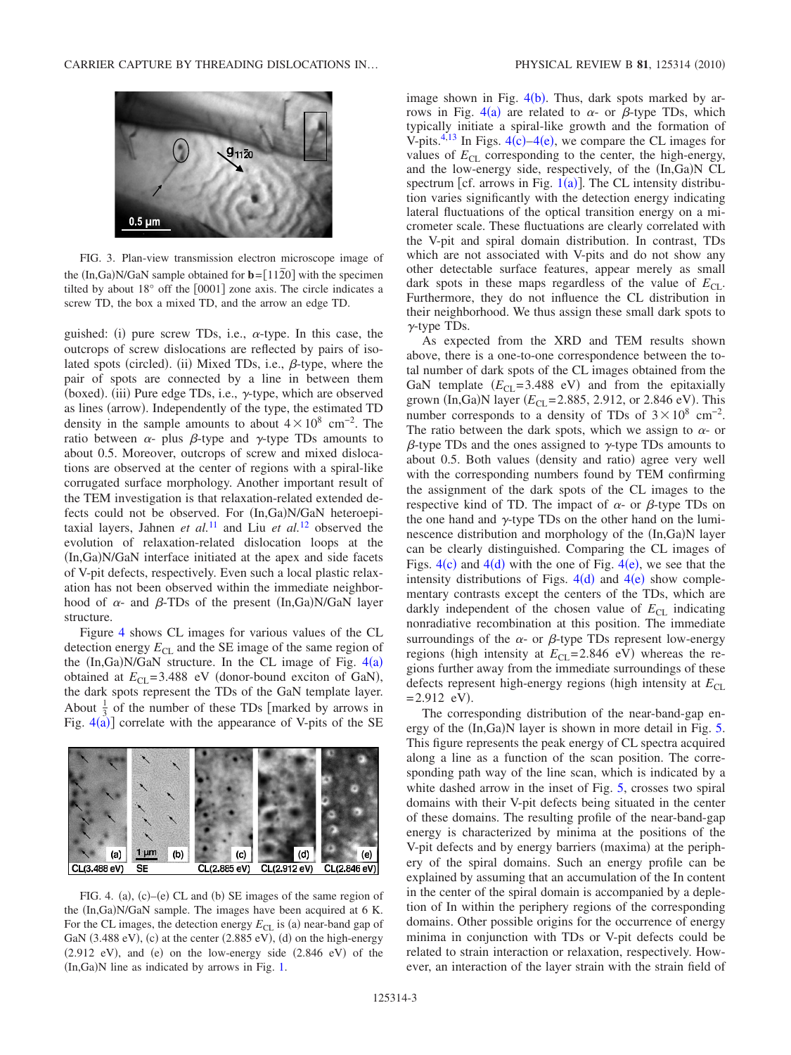<span id="page-2-0"></span>

FIG. 3. Plan-view transmission electron microscope image of the  $(In,Ga)N/GaN$  sample obtained for  $\mathbf{b} = [11\overline{2}0]$  with the specimen tilted by about  $18^{\circ}$  off the  $[0001]$  zone axis. The circle indicates a screw TD, the box a mixed TD, and the arrow an edge TD.

guished: (i) pure screw TDs, i.e.,  $\alpha$ -type. In this case, the outcrops of screw dislocations are reflected by pairs of isolated spots (circled). (ii) Mixed TDs, i.e.,  $\beta$ -type, where the pair of spots are connected by a line in between them (boxed). (iii) Pure edge TDs, i.e.,  $\gamma$ -type, which are observed as lines (arrow). Independently of the type, the estimated TD density in the sample amounts to about  $4 \times 10^8$  cm<sup>-2</sup>. The ratio between  $\alpha$ - plus  $\beta$ -type and  $\gamma$ -type TDs amounts to about 0.5. Moreover, outcrops of screw and mixed dislocations are observed at the center of regions with a spiral-like corrugated surface morphology. Another important result of the TEM investigation is that relaxation-related extended defects could not be observed. For (In,Ga)N/GaN heteroepitaxial layers, Jahnen *et al.*[11](#page-4-11) and Liu *et al.*[12](#page-4-12) observed the evolution of relaxation-related dislocation loops at the (In,Ga)N/GaN interface initiated at the apex and side facets of V-pit defects, respectively. Even such a local plastic relaxation has not been observed within the immediate neighborhood of  $\alpha$ - and  $\beta$ -TDs of the present (In,Ga)N/GaN layer structure.

Figure [4](#page-2-1) shows CL images for various values of the CL detection energy  $E_{CL}$  and the SE image of the same region of the  $(In,Ga)N/GaN$  structure. In the CL image of Fig.  $4(a)$  $4(a)$ obtained at  $E_{CL} = 3.488$  eV (donor-bound exciton of GaN), the dark spots represent the TDs of the GaN template layer. About  $\frac{1}{3}$  of the number of these TDs [marked by arrows in Fig.  $4(a)$  $4(a)$ ] correlate with the appearance of V-pits of the SE

<span id="page-2-1"></span>

FIG. 4. (a),  $(c)$ - $(e)$  CL and (b) SE images of the same region of the (In,Ga)N/GaN sample. The images have been acquired at 6 K. For the CL images, the detection energy  $E_{CL}$  is (a) near-band gap of GaN  $(3.488 \text{ eV})$ ,  $(c)$  at the center  $(2.885 \text{ eV})$ ,  $(d)$  on the high-energy  $(2.912 \text{ eV})$ , and  $(e)$  on the low-energy side  $(2.846 \text{ eV})$  of the (In,Ga)N line as indicated by arrows in Fig. [1.](#page-1-0)

image shown in Fig.  $4(b)$  $4(b)$ . Thus, dark spots marked by ar-rows in Fig. [4](#page-2-1)(a) are related to  $\alpha$ - or  $\beta$ -type TDs, which typically initiate a spiral-like growth and the formation of V-pits.<sup>4,[13](#page-4-13)</sup> In Figs.  $4(c) - 4(e)$  $4(c) - 4(e)$ , we compare the CL images for values of  $E_{\text{CI}}$  corresponding to the center, the high-energy, and the low-energy side, respectively, of the  $(In, Ga)N$  CL spectrum [cf. arrows in Fig.  $1(a)$  $1(a)$ ]. The CL intensity distribution varies significantly with the detection energy indicating lateral fluctuations of the optical transition energy on a micrometer scale. These fluctuations are clearly correlated with the V-pit and spiral domain distribution. In contrast, TDs which are not associated with V-pits and do not show any other detectable surface features, appear merely as small dark spots in these maps regardless of the value of  $E_{CL}$ . Furthermore, they do not influence the CL distribution in their neighborhood. We thus assign these small dark spots to  $\gamma$ -type TDs.

As expected from the XRD and TEM results shown above, there is a one-to-one correspondence between the total number of dark spots of the CL images obtained from the GaN template  $(E_{CL} = 3.488 \text{ eV})$  and from the epitaxially grown (In,Ga)N layer ( $E_{CL}$ =2.885, 2.912, or 2.846 eV). This number corresponds to a density of TDs of  $3 \times 10^8$  cm<sup>-2</sup>. The ratio between the dark spots, which we assign to  $\alpha$ - or  $\beta$ -type TDs and the ones assigned to  $\gamma$ -type TDs amounts to about 0.5. Both values (density and ratio) agree very well with the corresponding numbers found by TEM confirming the assignment of the dark spots of the CL images to the respective kind of TD. The impact of  $\alpha$ - or  $\beta$ -type TDs on the one hand and  $\gamma$ -type TDs on the other hand on the luminescence distribution and morphology of the (In,Ga)N layer can be clearly distinguished. Comparing the CL images of Figs.  $4(c)$  $4(c)$  and  $4(d)$  with the one of Fig.  $4(e)$ , we see that the intensity distributions of Figs.  $4(d)$  $4(d)$  and  $4(e)$  show complementary contrasts except the centers of the TDs, which are darkly independent of the chosen value of  $E_{CL}$  indicating nonradiative recombination at this position. The immediate surroundings of the  $\alpha$ - or  $\beta$ -type TDs represent low-energy regions (high intensity at  $E_{CL}$ =2.846 eV) whereas the regions further away from the immediate surroundings of these defects represent high-energy regions (high intensity at  $E_{CL}$  $= 2.912$  eV).

The corresponding distribution of the near-band-gap en-ergy of the (In,Ga)N layer is shown in more detail in Fig. [5.](#page-3-0) This figure represents the peak energy of CL spectra acquired along a line as a function of the scan position. The corresponding path way of the line scan, which is indicated by a white dashed arrow in the inset of Fig. [5,](#page-3-0) crosses two spiral domains with their V-pit defects being situated in the center of these domains. The resulting profile of the near-band-gap energy is characterized by minima at the positions of the V-pit defects and by energy barriers (maxima) at the periphery of the spiral domains. Such an energy profile can be explained by assuming that an accumulation of the In content in the center of the spiral domain is accompanied by a depletion of In within the periphery regions of the corresponding domains. Other possible origins for the occurrence of energy minima in conjunction with TDs or V-pit defects could be related to strain interaction or relaxation, respectively. However, an interaction of the layer strain with the strain field of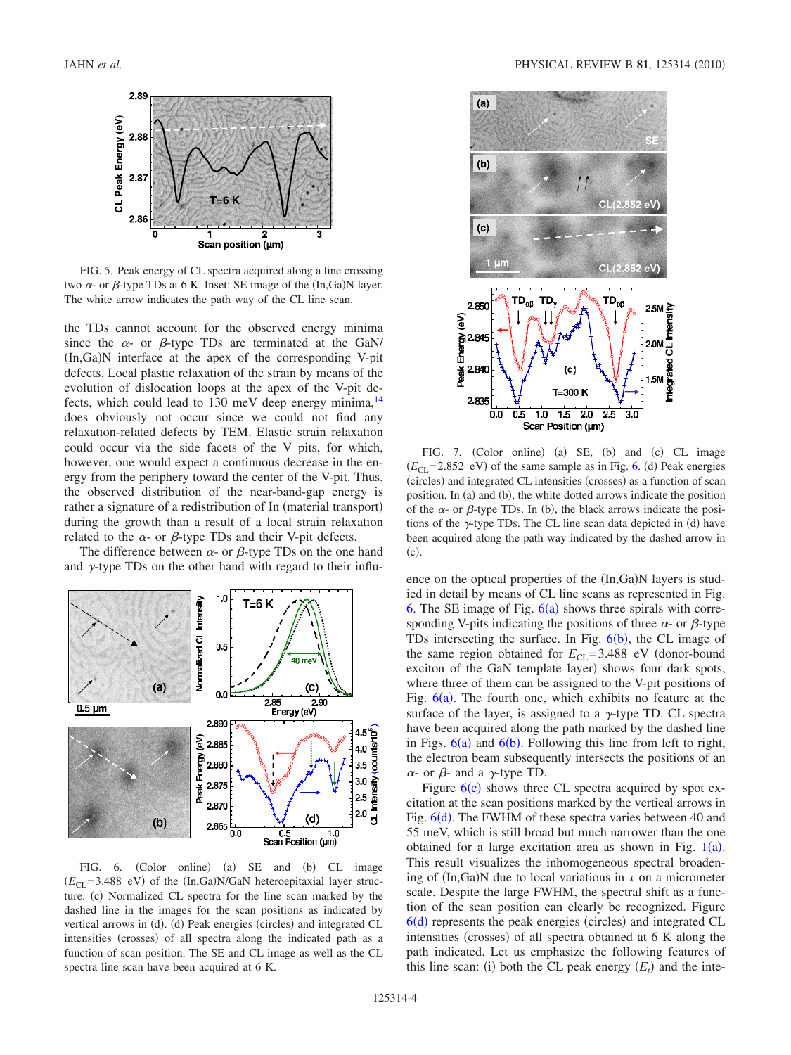<span id="page-3-0"></span>

FIG. 5. Peak energy of CL spectra acquired along a line crossing two  $\alpha$ - or  $\beta$ -type TDs at 6 K. Inset: SE image of the (In,Ga)N layer. The white arrow indicates the path way of the CL line scan.

the TDs cannot account for the observed energy minima since the  $\alpha$ - or  $\beta$ -type TDs are terminated at the GaN/ (In,Ga)N interface at the apex of the corresponding V-pit defects. Local plastic relaxation of the strain by means of the evolution of dislocation loops at the apex of the V-pit defects, which could lead to 130 meV deep energy minima, $14$ does obviously not occur since we could not find any relaxation-related defects by TEM. Elastic strain relaxation could occur via the side facets of the V pits, for which, however, one would expect a continuous decrease in the energy from the periphery toward the center of the V-pit. Thus, the observed distribution of the near-band-gap energy is rather a signature of a redistribution of In (material transport) during the growth than a result of a local strain relaxation related to the  $\alpha$ - or  $\beta$ -type TDs and their V-pit defects.

The difference between  $\alpha$ - or  $\beta$ -type TDs on the one hand and  $\gamma$ -type TDs on the other hand with regard to their influ-

<span id="page-3-1"></span>

FIG. 6. (Color online) (a) SE and (b) CL image  $(E_{CL} = 3.488 \text{ eV})$  of the  $(In, Ga)N/GaN$  heteroepitaxial layer structure. (c) Normalized CL spectra for the line scan marked by the dashed line in the images for the scan positions as indicated by vertical arrows in (d). (d) Peak energies (circles) and integrated CL intensities (crosses) of all spectra along the indicated path as a function of scan position. The SE and CL image as well as the CL spectra line scan have been acquired at 6 K.

<span id="page-3-2"></span>

FIG. 7. (Color online) (a) SE, (b) and (c) CL image  $(E_{CL} = 2.852 \text{ eV})$  of the same sample as in Fig. [6.](#page-3-1) (d) Peak energies (circles) and integrated CL intensities (crosses) as a function of scan position. In (a) and (b), the white dotted arrows indicate the position of the  $\alpha$ - or  $\beta$ -type TDs. In (b), the black arrows indicate the positions of the  $\gamma$ -type TDs. The CL line scan data depicted in (d) have been acquired along the path way indicated by the dashed arrow in  $(c).$ 

ence on the optical properties of the (In,Ga)N layers is studied in detail by means of CL line scans as represented in Fig. [6.](#page-3-1) The SE image of Fig.  $6(a)$  $6(a)$  shows three spirals with corresponding V-pits indicating the positions of three  $\alpha$ - or  $\beta$ -type TDs intersecting the surface. In Fig.  $6(b)$  $6(b)$ , the CL image of the same region obtained for  $E_{CL}$ =3.488 eV (donor-bound exciton of the GaN template layer) shows four dark spots, where three of them can be assigned to the V-pit positions of Fig.  $6(a)$  $6(a)$ . The fourth one, which exhibits no feature at the surface of the layer, is assigned to a  $\gamma$ -type TD. CL spectra have been acquired along the path marked by the dashed line in Figs.  $6(a)$  $6(a)$  and  $6(b)$ . Following this line from left to right, the electron beam subsequently intersects the positions of an  $\alpha$ - or  $\beta$ - and a  $\gamma$ -type TD.

Figure  $6(c)$  $6(c)$  shows three CL spectra acquired by spot excitation at the scan positions marked by the vertical arrows in Fig. [6](#page-3-1)(d). The FWHM of these spectra varies between 40 and 55 meV, which is still broad but much narrower than the one obtained for a large excitation area as shown in Fig.  $1(a)$  $1(a)$ . This result visualizes the inhomogeneous spectral broadening of  $(In,Ga)$ N due to local variations in  $x$  on a micrometer scale. Despite the large FWHM, the spectral shift as a function of the scan position can clearly be recognized. Figure [6](#page-3-1)(d) represents the peak energies (circles) and integrated CL intensities (crosses) of all spectra obtained at 6 K along the path indicated. Let us emphasize the following features of this line scan: (i) both the CL peak energy  $(E_t)$  and the inte-